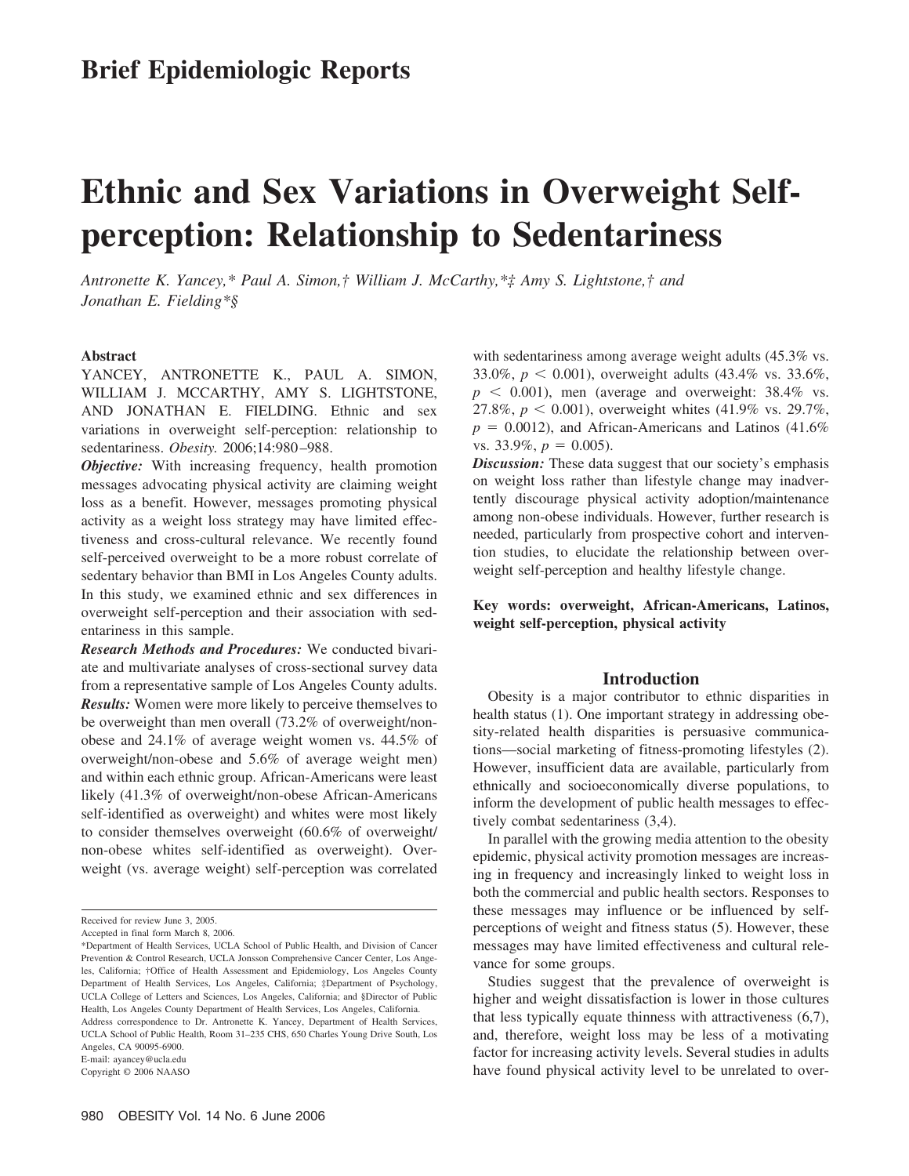# **Ethnic and Sex Variations in Overweight Selfperception: Relationship to Sedentariness**

*Antronette K. Yancey,\* Paul A. Simon,† William J. McCarthy,\*‡ Amy S. Lightstone,† and Jonathan E. Fielding\*§*

#### **Abstract**

YANCEY, ANTRONETTE K., PAUL A. SIMON, WILLIAM J. MCCARTHY, AMY S. LIGHTSTONE, AND JONATHAN E. FIELDING. Ethnic and sex variations in overweight self-perception: relationship to sedentariness. *Obesity.* 2006;14:980 –988.

*Objective:* With increasing frequency, health promotion messages advocating physical activity are claiming weight loss as a benefit. However, messages promoting physical activity as a weight loss strategy may have limited effectiveness and cross-cultural relevance. We recently found self-perceived overweight to be a more robust correlate of sedentary behavior than BMI in Los Angeles County adults. In this study, we examined ethnic and sex differences in overweight self-perception and their association with sedentariness in this sample.

*Research Methods and Procedures:* We conducted bivariate and multivariate analyses of cross-sectional survey data from a representative sample of Los Angeles County adults. *Results:* Women were more likely to perceive themselves to be overweight than men overall (73.2% of overweight/nonobese and 24.1% of average weight women vs. 44.5% of overweight/non-obese and 5.6% of average weight men) and within each ethnic group. African-Americans were least likely (41.3% of overweight/non-obese African-Americans self-identified as overweight) and whites were most likely to consider themselves overweight (60.6% of overweight/ non-obese whites self-identified as overweight). Overweight (vs. average weight) self-perception was correlated

Angeles, CA 90095-6900. E-mail: ayancey@ucla.edu

Copyright © 2006 NAASO

with sedentariness among average weight adults  $(45.3\% \text{ vs.})$ 33.0%,  $p < 0.001$ ), overweight adults (43.4% vs. 33.6%,  $p \leq 0.001$ ), men (average and overweight: 38.4% vs. 27.8%,  $p < 0.001$ ), overweight whites (41.9% vs. 29.7%,  $p = 0.0012$ ), and African-Americans and Latinos (41.6%) vs. 33.9%,  $p = 0.005$ ).

*Discussion:* These data suggest that our society's emphasis on weight loss rather than lifestyle change may inadvertently discourage physical activity adoption/maintenance among non-obese individuals. However, further research is needed, particularly from prospective cohort and intervention studies, to elucidate the relationship between overweight self-perception and healthy lifestyle change.

**Key words: overweight, African-Americans, Latinos, weight self-perception, physical activity**

### **Introduction**

Obesity is a major contributor to ethnic disparities in health status (1). One important strategy in addressing obesity-related health disparities is persuasive communications—social marketing of fitness-promoting lifestyles (2). However, insufficient data are available, particularly from ethnically and socioeconomically diverse populations, to inform the development of public health messages to effectively combat sedentariness (3,4).

In parallel with the growing media attention to the obesity epidemic, physical activity promotion messages are increasing in frequency and increasingly linked to weight loss in both the commercial and public health sectors. Responses to these messages may influence or be influenced by selfperceptions of weight and fitness status (5). However, these messages may have limited effectiveness and cultural relevance for some groups.

Studies suggest that the prevalence of overweight is higher and weight dissatisfaction is lower in those cultures that less typically equate thinness with attractiveness (6,7), and, therefore, weight loss may be less of a motivating factor for increasing activity levels. Several studies in adults have found physical activity level to be unrelated to over-

Received for review June 3, 2005.

Accepted in final form March 8, 2006.

<sup>\*</sup>Department of Health Services, UCLA School of Public Health, and Division of Cancer Prevention & Control Research, UCLA Jonsson Comprehensive Cancer Center, Los Angeles, California; †Office of Health Assessment and Epidemiology, Los Angeles County Department of Health Services, Los Angeles, California; ‡Department of Psychology, UCLA College of Letters and Sciences, Los Angeles, California; and §Director of Public Health, Los Angeles County Department of Health Services, Los Angeles, California. Address correspondence to Dr. Antronette K. Yancey, Department of Health Services, UCLA School of Public Health, Room 31–235 CHS, 650 Charles Young Drive South, Los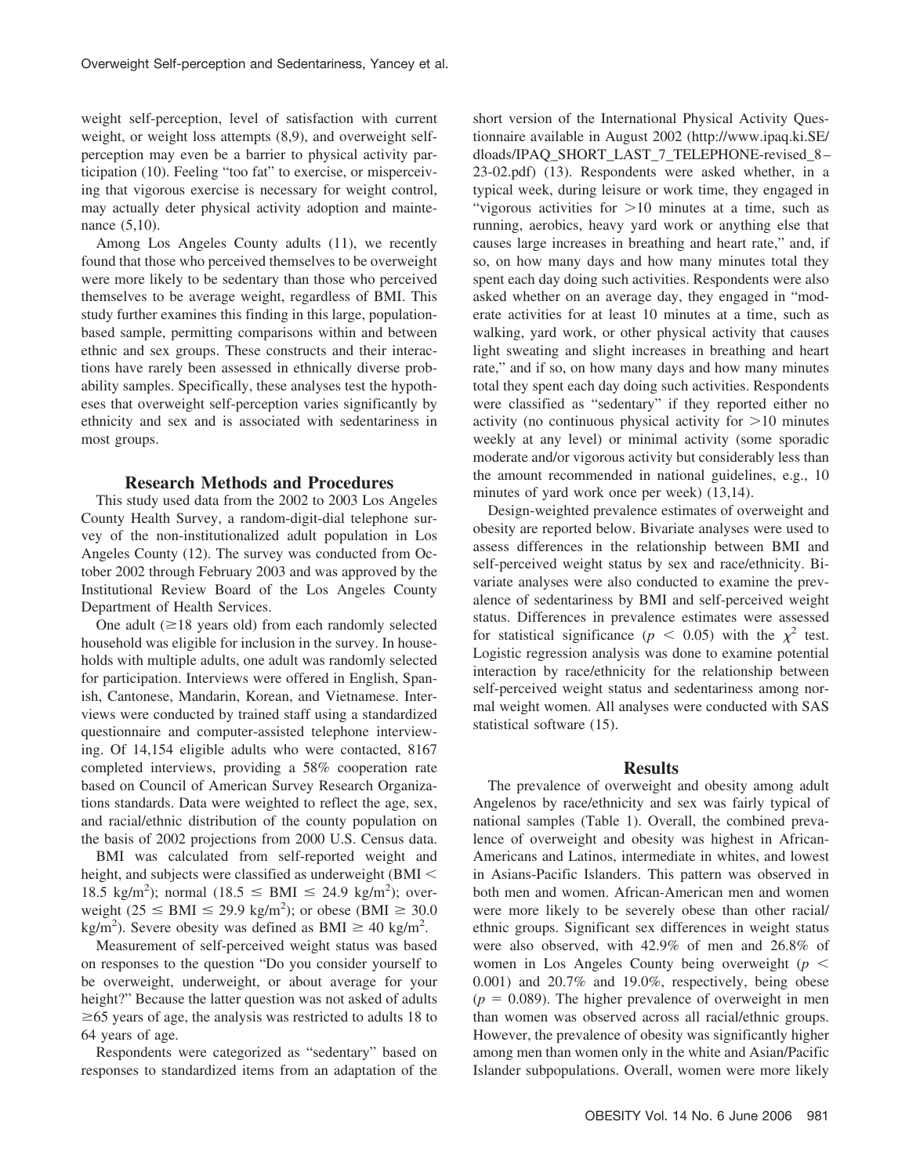weight self-perception, level of satisfaction with current weight, or weight loss attempts (8,9), and overweight selfperception may even be a barrier to physical activity participation (10). Feeling "too fat" to exercise, or misperceiving that vigorous exercise is necessary for weight control, may actually deter physical activity adoption and maintenance (5,10).

Among Los Angeles County adults (11), we recently found that those who perceived themselves to be overweight were more likely to be sedentary than those who perceived themselves to be average weight, regardless of BMI. This study further examines this finding in this large, populationbased sample, permitting comparisons within and between ethnic and sex groups. These constructs and their interactions have rarely been assessed in ethnically diverse probability samples. Specifically, these analyses test the hypotheses that overweight self-perception varies significantly by ethnicity and sex and is associated with sedentariness in most groups.

## **Research Methods and Procedures**

This study used data from the 2002 to 2003 Los Angeles County Health Survey, a random-digit-dial telephone survey of the non-institutionalized adult population in Los Angeles County (12). The survey was conducted from October 2002 through February 2003 and was approved by the Institutional Review Board of the Los Angeles County Department of Health Services.

One adult  $(\geq 18$  years old) from each randomly selected household was eligible for inclusion in the survey. In households with multiple adults, one adult was randomly selected for participation. Interviews were offered in English, Spanish, Cantonese, Mandarin, Korean, and Vietnamese. Interviews were conducted by trained staff using a standardized questionnaire and computer-assisted telephone interviewing. Of 14,154 eligible adults who were contacted, 8167 completed interviews, providing a 58% cooperation rate based on Council of American Survey Research Organizations standards. Data were weighted to reflect the age, sex, and racial/ethnic distribution of the county population on the basis of 2002 projections from 2000 U.S. Census data.

BMI was calculated from self-reported weight and height, and subjects were classified as underweight (BMI < 18.5 kg/m<sup>2</sup>); normal (18.5  $\leq$  BMI  $\leq$  24.9 kg/m<sup>2</sup>); overweight ( $25 \leq \text{BMI} \leq 29.9 \text{ kg/m}^2$ ); or obese ( $\text{BMI} \geq 30.0$ kg/m<sup>2</sup>). Severe obesity was defined as BMI  $\geq 40$  kg/m<sup>2</sup>.

Measurement of self-perceived weight status was based on responses to the question "Do you consider yourself to be overweight, underweight, or about average for your height?" Because the latter question was not asked of adults  $\geq 65$  years of age, the analysis was restricted to adults 18 to 64 years of age.

Respondents were categorized as "sedentary" based on responses to standardized items from an adaptation of the

short version of the International Physical Activity Questionnaire available in August 2002 (http://www.ipaq.ki.SE/ dloads/IPAQ\_SHORT\_LAST\_7\_TELEPHONE-revised\_8 – 23-02.pdf) (13). Respondents were asked whether, in a typical week, during leisure or work time, they engaged in "vigorous activities for  $>10$  minutes at a time, such as running, aerobics, heavy yard work or anything else that causes large increases in breathing and heart rate," and, if so, on how many days and how many minutes total they spent each day doing such activities. Respondents were also asked whether on an average day, they engaged in "moderate activities for at least 10 minutes at a time, such as walking, yard work, or other physical activity that causes light sweating and slight increases in breathing and heart rate," and if so, on how many days and how many minutes total they spent each day doing such activities. Respondents were classified as "sedentary" if they reported either no activity (no continuous physical activity for  $>10$  minutes weekly at any level) or minimal activity (some sporadic moderate and/or vigorous activity but considerably less than the amount recommended in national guidelines, e.g., 10 minutes of yard work once per week) (13,14).

Design-weighted prevalence estimates of overweight and obesity are reported below. Bivariate analyses were used to assess differences in the relationship between BMI and self-perceived weight status by sex and race/ethnicity. Bivariate analyses were also conducted to examine the prevalence of sedentariness by BMI and self-perceived weight status. Differences in prevalence estimates were assessed for statistical significance ( $p < 0.05$ ) with the  $\chi^2$  test. Logistic regression analysis was done to examine potential interaction by race/ethnicity for the relationship between self-perceived weight status and sedentariness among normal weight women. All analyses were conducted with SAS statistical software (15).

## **Results**

The prevalence of overweight and obesity among adult Angelenos by race/ethnicity and sex was fairly typical of national samples (Table 1). Overall, the combined prevalence of overweight and obesity was highest in African-Americans and Latinos, intermediate in whites, and lowest in Asians-Pacific Islanders. This pattern was observed in both men and women. African-American men and women were more likely to be severely obese than other racial/ ethnic groups. Significant sex differences in weight status were also observed, with 42.9% of men and 26.8% of women in Los Angeles County being overweight (*p* 0.001) and 20.7% and 19.0%, respectively, being obese  $(p = 0.089)$ . The higher prevalence of overweight in men than women was observed across all racial/ethnic groups. However, the prevalence of obesity was significantly higher among men than women only in the white and Asian/Pacific Islander subpopulations. Overall, women were more likely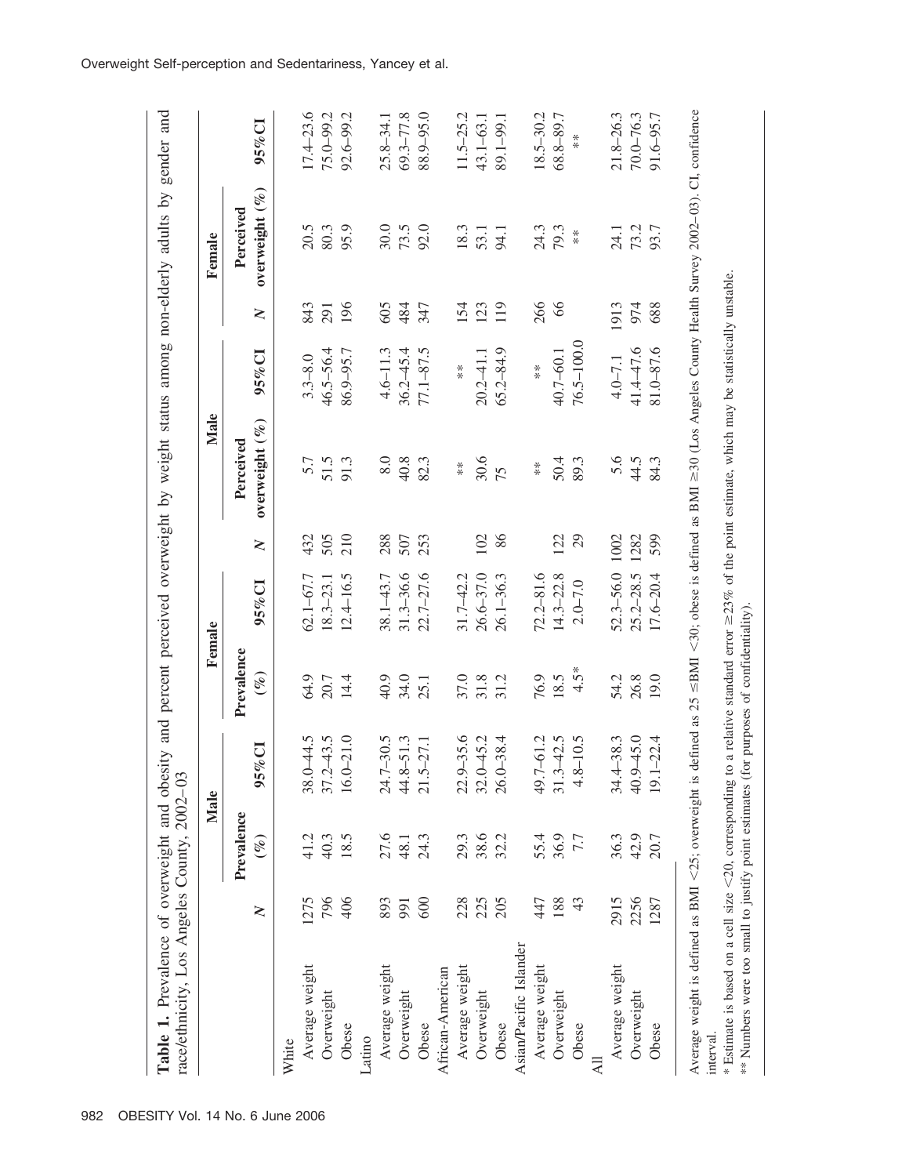| defined as 25 $\le$ BMI <30; obese is defined as BMI $\geq$ 30 (Los Angeles County Health Survey 2002–03). CI, confidence<br>overweight $(\%)$<br>Perceived<br>30.0<br>92.0<br>80.3<br>95.9<br>73.2<br>93.7<br>20.5<br>73.5<br>18.3<br>24.3<br>79.3<br>24.1<br>53.1<br>94.1<br>$*$<br>196<br>605<br>266<br>$\delta$<br>1913<br>843<br>974<br>688<br>484<br>347<br>154<br>123<br>119<br>291<br>$\geq$<br>$76.5 - 100.0$<br>41.4-47.6<br>81.0-87.6<br>$4.6 - 11.3$<br>$36.2 - 45.4$<br>77.1-87.5<br>$65.2 - 84.9$<br>$46.5 - 56.4$<br>86.9–95.7<br>95% CI<br>$20.2 - 41.1$<br>40.7-60.1<br>$3.3 - 8.0$<br>$4.0 - 7.1$<br>$*$<br>$*$<br>overweight (%)<br>Perceived<br>$8.0\,$<br>5.6<br>44.5<br>51.5<br>40.8<br>82.3<br>30.6<br>50.4<br>89.3<br>84.3<br>5.7<br>91.3<br>$*$<br>$*$<br>75<br>288<br>86<br>1002<br>505<br>210<br>102<br>22<br>29<br>1282<br>599<br>432<br>507<br>253<br>$\geq$<br>$52.3 - 56.0$<br>$25.2 - 28.5$<br>$31.3 - 36.6$<br>$22.7 - 27.6$<br>$26.6 - 37.0$<br>$72.2 - 81.6$<br>$14.3 - 22.8$<br>$12.4 - 16.5$<br>38.1-43.7<br>$26.1 - 36.3$<br>$17.6 - 20.4$<br>$31.7 - 42.2$<br>$62.1 - 67.7$<br>$18.3 - 23.1$<br>95%CI<br>$2.0 - 7.0$<br>Prevalence<br>$4.5*$<br>$(\%)$<br>76.9<br>18.5<br>54.2<br>26.8<br>64.9<br>40.9<br>34.0<br>37.0<br>31.8<br>19.0<br>14.4<br>31.2<br>20.7<br>25.1<br>$9 - 35.6$<br>40.9-45.0<br>$0 - 44.5$<br>$37.2 - 43.5$<br>$16.0 - 21.0$<br>24.7-30.5<br>$0 - 45.2$<br>$26.0 - 38.4$<br>$31.3 - 42.5$<br>$4.8 - 10.5$<br>$34.4 - 38.3$<br>$44.8 - 51.3$<br>49.7-61.2<br>$1 - 22.4$<br>$21.5 - 27.1$<br>$95\%$ CI<br>19.1<br>Average weight is defined as BMI <25; overweight is<br>22.<br>32(<br>38.<br>Prevalence<br>38.6<br>27.6<br>29.3<br>36.9<br>42.9<br>41.2<br>40.3<br>18.5<br>24.3<br>32.2<br>55.4<br>36.3<br>7.7<br>20.7<br>$(\%)$<br>48.1<br>796<br>2256<br>406<br>2915<br>275<br>893<br>228<br>225<br>188<br>43<br>1287<br>600<br>205<br>447<br>991<br>$\geq$<br>Asian/Pacific Islander<br>Average weight<br>Average weight<br>Average weight<br>Average weight<br>Average weight<br>African-American<br>Overweight<br>Overweight<br>Overweight<br>Overweight<br>Overweight<br>Obese<br>Obese<br>Obese<br>Obese<br>Obese<br>interval.<br>Latino<br>White<br>$\overline{a}$ |  | Male | Female |  | Male |  | Female |               |
|---------------------------------------------------------------------------------------------------------------------------------------------------------------------------------------------------------------------------------------------------------------------------------------------------------------------------------------------------------------------------------------------------------------------------------------------------------------------------------------------------------------------------------------------------------------------------------------------------------------------------------------------------------------------------------------------------------------------------------------------------------------------------------------------------------------------------------------------------------------------------------------------------------------------------------------------------------------------------------------------------------------------------------------------------------------------------------------------------------------------------------------------------------------------------------------------------------------------------------------------------------------------------------------------------------------------------------------------------------------------------------------------------------------------------------------------------------------------------------------------------------------------------------------------------------------------------------------------------------------------------------------------------------------------------------------------------------------------------------------------------------------------------------------------------------------------------------------------------------------------------------------------------------------------------------------------------------------------------------------------------------------------------------------------------------------------------------------------------------------------------------------------------------------------------------------------------------------------------------------|--|------|--------|--|------|--|--------|---------------|
|                                                                                                                                                                                                                                                                                                                                                                                                                                                                                                                                                                                                                                                                                                                                                                                                                                                                                                                                                                                                                                                                                                                                                                                                                                                                                                                                                                                                                                                                                                                                                                                                                                                                                                                                                                                                                                                                                                                                                                                                                                                                                                                                                                                                                                       |  |      |        |  |      |  |        | $95\%$ CI     |
|                                                                                                                                                                                                                                                                                                                                                                                                                                                                                                                                                                                                                                                                                                                                                                                                                                                                                                                                                                                                                                                                                                                                                                                                                                                                                                                                                                                                                                                                                                                                                                                                                                                                                                                                                                                                                                                                                                                                                                                                                                                                                                                                                                                                                                       |  |      |        |  |      |  |        |               |
|                                                                                                                                                                                                                                                                                                                                                                                                                                                                                                                                                                                                                                                                                                                                                                                                                                                                                                                                                                                                                                                                                                                                                                                                                                                                                                                                                                                                                                                                                                                                                                                                                                                                                                                                                                                                                                                                                                                                                                                                                                                                                                                                                                                                                                       |  |      |        |  |      |  |        | $17.4 - 23.6$ |
|                                                                                                                                                                                                                                                                                                                                                                                                                                                                                                                                                                                                                                                                                                                                                                                                                                                                                                                                                                                                                                                                                                                                                                                                                                                                                                                                                                                                                                                                                                                                                                                                                                                                                                                                                                                                                                                                                                                                                                                                                                                                                                                                                                                                                                       |  |      |        |  |      |  |        | $75.0 - 99.2$ |
|                                                                                                                                                                                                                                                                                                                                                                                                                                                                                                                                                                                                                                                                                                                                                                                                                                                                                                                                                                                                                                                                                                                                                                                                                                                                                                                                                                                                                                                                                                                                                                                                                                                                                                                                                                                                                                                                                                                                                                                                                                                                                                                                                                                                                                       |  |      |        |  |      |  |        | $92.6 - 99.2$ |
|                                                                                                                                                                                                                                                                                                                                                                                                                                                                                                                                                                                                                                                                                                                                                                                                                                                                                                                                                                                                                                                                                                                                                                                                                                                                                                                                                                                                                                                                                                                                                                                                                                                                                                                                                                                                                                                                                                                                                                                                                                                                                                                                                                                                                                       |  |      |        |  |      |  |        |               |
|                                                                                                                                                                                                                                                                                                                                                                                                                                                                                                                                                                                                                                                                                                                                                                                                                                                                                                                                                                                                                                                                                                                                                                                                                                                                                                                                                                                                                                                                                                                                                                                                                                                                                                                                                                                                                                                                                                                                                                                                                                                                                                                                                                                                                                       |  |      |        |  |      |  |        | $25.8 - 34.1$ |
|                                                                                                                                                                                                                                                                                                                                                                                                                                                                                                                                                                                                                                                                                                                                                                                                                                                                                                                                                                                                                                                                                                                                                                                                                                                                                                                                                                                                                                                                                                                                                                                                                                                                                                                                                                                                                                                                                                                                                                                                                                                                                                                                                                                                                                       |  |      |        |  |      |  |        | $69.3 - 77.8$ |
|                                                                                                                                                                                                                                                                                                                                                                                                                                                                                                                                                                                                                                                                                                                                                                                                                                                                                                                                                                                                                                                                                                                                                                                                                                                                                                                                                                                                                                                                                                                                                                                                                                                                                                                                                                                                                                                                                                                                                                                                                                                                                                                                                                                                                                       |  |      |        |  |      |  |        | 88.9-95.0     |
|                                                                                                                                                                                                                                                                                                                                                                                                                                                                                                                                                                                                                                                                                                                                                                                                                                                                                                                                                                                                                                                                                                                                                                                                                                                                                                                                                                                                                                                                                                                                                                                                                                                                                                                                                                                                                                                                                                                                                                                                                                                                                                                                                                                                                                       |  |      |        |  |      |  |        |               |
|                                                                                                                                                                                                                                                                                                                                                                                                                                                                                                                                                                                                                                                                                                                                                                                                                                                                                                                                                                                                                                                                                                                                                                                                                                                                                                                                                                                                                                                                                                                                                                                                                                                                                                                                                                                                                                                                                                                                                                                                                                                                                                                                                                                                                                       |  |      |        |  |      |  |        | $11.5 - 25.2$ |
|                                                                                                                                                                                                                                                                                                                                                                                                                                                                                                                                                                                                                                                                                                                                                                                                                                                                                                                                                                                                                                                                                                                                                                                                                                                                                                                                                                                                                                                                                                                                                                                                                                                                                                                                                                                                                                                                                                                                                                                                                                                                                                                                                                                                                                       |  |      |        |  |      |  |        | $43.1 - 63.1$ |
|                                                                                                                                                                                                                                                                                                                                                                                                                                                                                                                                                                                                                                                                                                                                                                                                                                                                                                                                                                                                                                                                                                                                                                                                                                                                                                                                                                                                                                                                                                                                                                                                                                                                                                                                                                                                                                                                                                                                                                                                                                                                                                                                                                                                                                       |  |      |        |  |      |  |        | 89.1-99.1     |
|                                                                                                                                                                                                                                                                                                                                                                                                                                                                                                                                                                                                                                                                                                                                                                                                                                                                                                                                                                                                                                                                                                                                                                                                                                                                                                                                                                                                                                                                                                                                                                                                                                                                                                                                                                                                                                                                                                                                                                                                                                                                                                                                                                                                                                       |  |      |        |  |      |  |        |               |
|                                                                                                                                                                                                                                                                                                                                                                                                                                                                                                                                                                                                                                                                                                                                                                                                                                                                                                                                                                                                                                                                                                                                                                                                                                                                                                                                                                                                                                                                                                                                                                                                                                                                                                                                                                                                                                                                                                                                                                                                                                                                                                                                                                                                                                       |  |      |        |  |      |  |        | $18.5 - 30.2$ |
|                                                                                                                                                                                                                                                                                                                                                                                                                                                                                                                                                                                                                                                                                                                                                                                                                                                                                                                                                                                                                                                                                                                                                                                                                                                                                                                                                                                                                                                                                                                                                                                                                                                                                                                                                                                                                                                                                                                                                                                                                                                                                                                                                                                                                                       |  |      |        |  |      |  |        | 68.8-89.7     |
|                                                                                                                                                                                                                                                                                                                                                                                                                                                                                                                                                                                                                                                                                                                                                                                                                                                                                                                                                                                                                                                                                                                                                                                                                                                                                                                                                                                                                                                                                                                                                                                                                                                                                                                                                                                                                                                                                                                                                                                                                                                                                                                                                                                                                                       |  |      |        |  |      |  |        | $*$           |
|                                                                                                                                                                                                                                                                                                                                                                                                                                                                                                                                                                                                                                                                                                                                                                                                                                                                                                                                                                                                                                                                                                                                                                                                                                                                                                                                                                                                                                                                                                                                                                                                                                                                                                                                                                                                                                                                                                                                                                                                                                                                                                                                                                                                                                       |  |      |        |  |      |  |        |               |
|                                                                                                                                                                                                                                                                                                                                                                                                                                                                                                                                                                                                                                                                                                                                                                                                                                                                                                                                                                                                                                                                                                                                                                                                                                                                                                                                                                                                                                                                                                                                                                                                                                                                                                                                                                                                                                                                                                                                                                                                                                                                                                                                                                                                                                       |  |      |        |  |      |  |        | $21.8 - 26.3$ |
|                                                                                                                                                                                                                                                                                                                                                                                                                                                                                                                                                                                                                                                                                                                                                                                                                                                                                                                                                                                                                                                                                                                                                                                                                                                                                                                                                                                                                                                                                                                                                                                                                                                                                                                                                                                                                                                                                                                                                                                                                                                                                                                                                                                                                                       |  |      |        |  |      |  |        | $70.0 - 76.3$ |
|                                                                                                                                                                                                                                                                                                                                                                                                                                                                                                                                                                                                                                                                                                                                                                                                                                                                                                                                                                                                                                                                                                                                                                                                                                                                                                                                                                                                                                                                                                                                                                                                                                                                                                                                                                                                                                                                                                                                                                                                                                                                                                                                                                                                                                       |  |      |        |  |      |  |        | $91.6 - 95.7$ |
|                                                                                                                                                                                                                                                                                                                                                                                                                                                                                                                                                                                                                                                                                                                                                                                                                                                                                                                                                                                                                                                                                                                                                                                                                                                                                                                                                                                                                                                                                                                                                                                                                                                                                                                                                                                                                                                                                                                                                                                                                                                                                                                                                                                                                                       |  |      |        |  |      |  |        |               |
| to a relative standard error $\geq$ 23% of the point estimate, which may be statistically unstable.<br>* Estimate is based on a cell size $<$ 20, corresponding t                                                                                                                                                                                                                                                                                                                                                                                                                                                                                                                                                                                                                                                                                                                                                                                                                                                                                                                                                                                                                                                                                                                                                                                                                                                                                                                                                                                                                                                                                                                                                                                                                                                                                                                                                                                                                                                                                                                                                                                                                                                                     |  |      |        |  |      |  |        |               |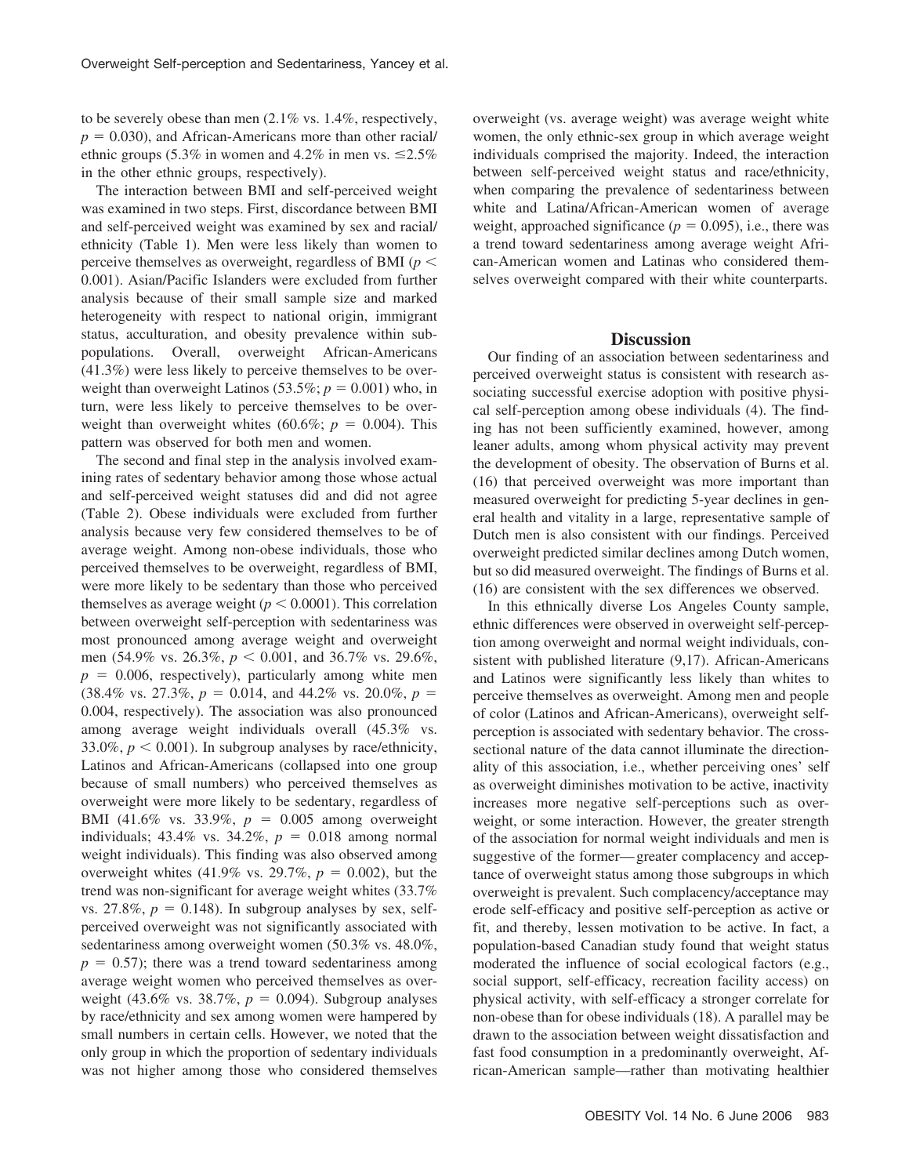to be severely obese than men (2.1% vs. 1.4%, respectively,  $p = 0.030$ , and African-Americans more than other racial/ ethnic groups (5.3% in women and 4.2% in men vs.  $\leq 2.5\%$ in the other ethnic groups, respectively).

The interaction between BMI and self-perceived weight was examined in two steps. First, discordance between BMI and self-perceived weight was examined by sex and racial/ ethnicity (Table 1). Men were less likely than women to perceive themselves as overweight, regardless of BMI (*p* 0.001). Asian/Pacific Islanders were excluded from further analysis because of their small sample size and marked heterogeneity with respect to national origin, immigrant status, acculturation, and obesity prevalence within subpopulations. Overall, overweight African-Americans (41.3%) were less likely to perceive themselves to be overweight than overweight Latinos  $(53.5\%; p = 0.001)$  who, in turn, were less likely to perceive themselves to be overweight than overweight whites  $(60.6\%; p = 0.004)$ . This pattern was observed for both men and women.

The second and final step in the analysis involved examining rates of sedentary behavior among those whose actual and self-perceived weight statuses did and did not agree (Table 2). Obese individuals were excluded from further analysis because very few considered themselves to be of average weight. Among non-obese individuals, those who perceived themselves to be overweight, regardless of BMI, were more likely to be sedentary than those who perceived themselves as average weight  $(p < 0.0001)$ . This correlation between overweight self-perception with sedentariness was most pronounced among average weight and overweight men (54.9% vs. 26.3%,  $p < 0.001$ , and 36.7% vs. 29.6%,  $p = 0.006$ , respectively), particularly among white men  $(38.4\% \text{ vs. } 27.3\%, p = 0.014, \text{ and } 44.2\% \text{ vs. } 20.0\%, p =$ 0.004, respectively). The association was also pronounced among average weight individuals overall (45.3% vs. 33.0%,  $p < 0.001$ ). In subgroup analyses by race/ethnicity, Latinos and African-Americans (collapsed into one group because of small numbers) who perceived themselves as overweight were more likely to be sedentary, regardless of BMI (41.6% vs. 33.9%,  $p = 0.005$  among overweight individuals;  $43.4\%$  vs.  $34.2\%$ ,  $p = 0.018$  among normal weight individuals). This finding was also observed among overweight whites  $(41.9\% \text{ vs. } 29.7\%, p = 0.002)$ , but the trend was non-significant for average weight whites (33.7% vs. 27.8%,  $p = 0.148$ ). In subgroup analyses by sex, selfperceived overweight was not significantly associated with sedentariness among overweight women (50.3% vs. 48.0%,  $p = 0.57$ ; there was a trend toward sedentariness among average weight women who perceived themselves as overweight (43.6% vs. 38.7%,  $p = 0.094$ ). Subgroup analyses by race/ethnicity and sex among women were hampered by small numbers in certain cells. However, we noted that the only group in which the proportion of sedentary individuals was not higher among those who considered themselves

overweight (vs. average weight) was average weight white women, the only ethnic-sex group in which average weight individuals comprised the majority. Indeed, the interaction between self-perceived weight status and race/ethnicity, when comparing the prevalence of sedentariness between white and Latina/African-American women of average weight, approached significance  $(p = 0.095)$ , i.e., there was a trend toward sedentariness among average weight African-American women and Latinas who considered themselves overweight compared with their white counterparts.

### **Discussion**

Our finding of an association between sedentariness and perceived overweight status is consistent with research associating successful exercise adoption with positive physical self-perception among obese individuals (4). The finding has not been sufficiently examined, however, among leaner adults, among whom physical activity may prevent the development of obesity. The observation of Burns et al. (16) that perceived overweight was more important than measured overweight for predicting 5-year declines in general health and vitality in a large, representative sample of Dutch men is also consistent with our findings. Perceived overweight predicted similar declines among Dutch women, but so did measured overweight. The findings of Burns et al. (16) are consistent with the sex differences we observed.

In this ethnically diverse Los Angeles County sample, ethnic differences were observed in overweight self-perception among overweight and normal weight individuals, consistent with published literature (9,17). African-Americans and Latinos were significantly less likely than whites to perceive themselves as overweight. Among men and people of color (Latinos and African-Americans), overweight selfperception is associated with sedentary behavior. The crosssectional nature of the data cannot illuminate the directionality of this association, i.e., whether perceiving ones' self as overweight diminishes motivation to be active, inactivity increases more negative self-perceptions such as overweight, or some interaction. However, the greater strength of the association for normal weight individuals and men is suggestive of the former— greater complacency and acceptance of overweight status among those subgroups in which overweight is prevalent. Such complacency/acceptance may erode self-efficacy and positive self-perception as active or fit, and thereby, lessen motivation to be active. In fact, a population-based Canadian study found that weight status moderated the influence of social ecological factors (e.g., social support, self-efficacy, recreation facility access) on physical activity, with self-efficacy a stronger correlate for non-obese than for obese individuals (18). A parallel may be drawn to the association between weight dissatisfaction and fast food consumption in a predominantly overweight, African-American sample—rather than motivating healthier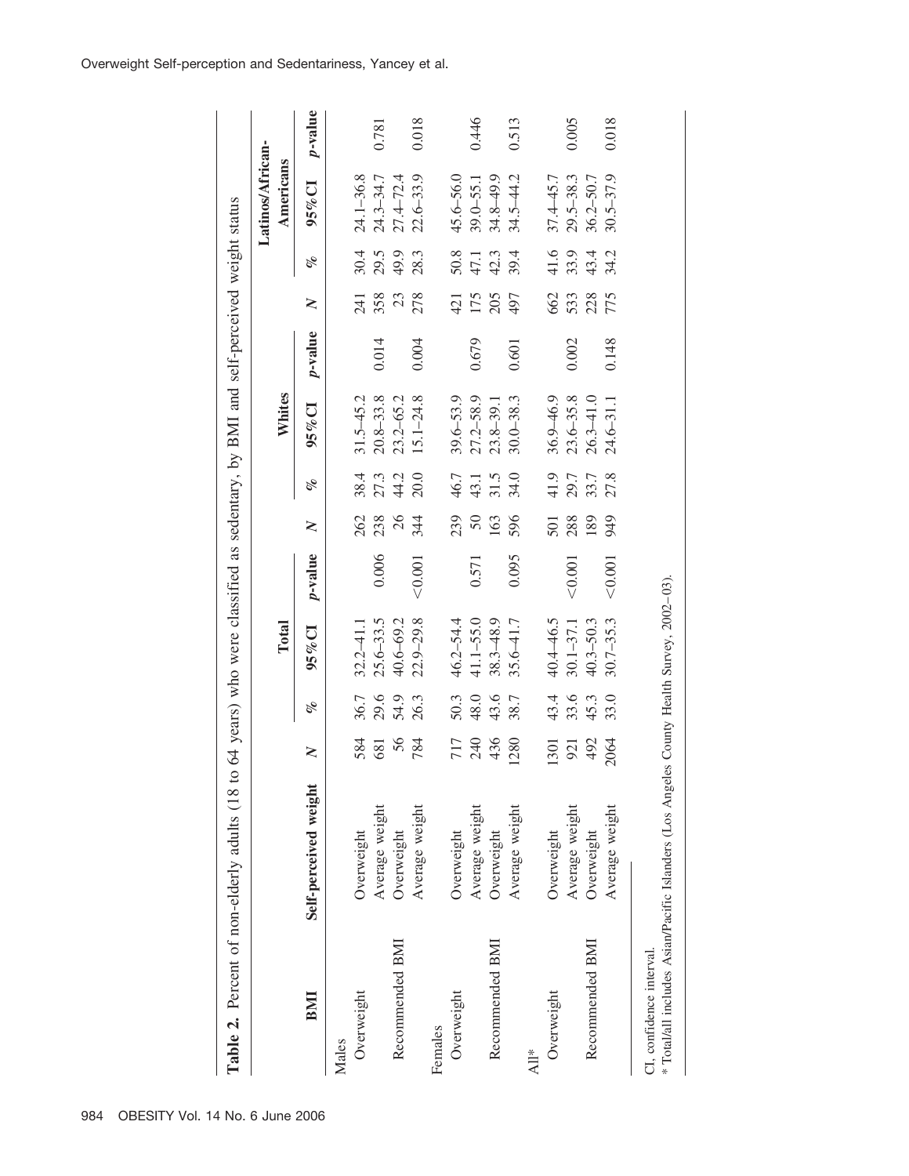|                          | Table 2. Percent of non-elderly adults (18 to 64 years) who were classified as sedentary, by BMI and self-perceived weight status |      |      |               |         |          |      |               |            |     |      |                 |                 |
|--------------------------|-----------------------------------------------------------------------------------------------------------------------------------|------|------|---------------|---------|----------|------|---------------|------------|-----|------|-----------------|-----------------|
|                          |                                                                                                                                   |      |      |               |         |          |      |               |            |     |      | Latinos/African |                 |
|                          |                                                                                                                                   |      |      | Total         |         |          |      | Whites        |            |     |      | Americans       |                 |
| BMI                      | Self-perceived weight                                                                                                             | Z    | of   | $95\%$ CI     | p-value | $\geq$   | of   | $95\%$ CI     | $p$ -value | Z   | of   | 95%CI           | <i>p</i> -value |
| Males                    |                                                                                                                                   |      |      |               |         |          |      |               |            |     |      |                 |                 |
| Overweight               | Overweight                                                                                                                        | 584  | 36.7 | $32.2 - 41.1$ |         | 262      | 38.4 | $31.5 - 45.2$ |            | 241 | 30.4 | $24.1 - 36.8$   |                 |
|                          | Average weight                                                                                                                    | 681  | 29.6 | $25.6 - 33.5$ | 0.006   | 238      | 27.3 | $20.8 - 33.8$ | 0.014      | 358 | 29.5 | 24.3–34.7       | 0.781           |
| Recommended BMI          | Overweight                                                                                                                        | 56   | 54.9 | $40.6 - 69.2$ |         | $\delta$ | 44.2 | $23.2 - 65.2$ |            | 23  | 49.9 | $27.4 - 72.4$   |                 |
|                          | Average weight                                                                                                                    | 784  | 26.3 | $22.9 - 29.8$ | < 0.001 | 344      | 20.0 | $15.1 - 24.8$ | 0.004      | 278 | 28.3 | $22.6 - 33.9$   | 0.018           |
| Females                  |                                                                                                                                   |      |      |               |         |          |      |               |            |     |      |                 |                 |
| Overweight               | Overweight                                                                                                                        | 717  | 50.3 | 46.2-54.4     |         | 239      | 46.7 | $39.6 - 53.9$ |            | 421 | 50.8 | 45.6–56.0       |                 |
|                          | Average weight                                                                                                                    | 240  | 48.0 | $41.1 - 55.0$ | 0.571   | $50\,$   | 43.1 | $27.2 - 58.9$ | 0.679      | 175 | 47.1 | $39.0 - 55.1$   | 0.446           |
| Recommended BMI          | Overweight                                                                                                                        | 436  | 43.6 | $38.3 - 48.9$ |         | 63       | 31.5 | $23.8 - 39.1$ |            | 205 | 42.3 | 34.8-49.9       |                 |
|                          | Average weight                                                                                                                    | 1280 | 38.7 | $35.6 - 41.7$ | 0.095   | 596      | 34.0 | $30.0 - 38.3$ | 0.601      | 497 | 39.4 | $34.5 - 44.2$   | 0.513           |
| All*                     |                                                                                                                                   |      |      |               |         |          |      |               |            |     |      |                 |                 |
| Overweight               | Overweight                                                                                                                        | 1301 | 43.4 | 40.4–46.5     |         | 501      | 41.9 | $36.9 - 46.9$ |            | 662 | 41.6 | 37.4–45.7       |                 |
|                          | Average weight                                                                                                                    | 921  | 33.6 | $30.1 - 37.1$ | < 0.001 | 288      | 29.7 | $23.6 - 35.8$ | 0.002      | 533 | 33.9 | $29.5 - 38.3$   | 0.005           |
| Recommended BMI          | Overweight                                                                                                                        | 492  | 45.3 | $40.3 - 50.3$ |         | 89       | 33.7 | $26.3 - 41.0$ |            | 228 | 43.4 | 36.2–50.7       |                 |
|                          | Average weight                                                                                                                    | 2064 | 33.0 | $30.7 - 35.3$ | < 0.001 | 949      | 27.8 | $24.6 - 31.1$ | 0.148      | 775 | 34.2 | $30.5 - 37.9$   | 0.018           |
| CI, confidence interval. |                                                                                                                                   |      |      |               |         |          |      |               |            |     |      |                 |                 |
|                          | * Total/all includes Asian/Pacific Islanders (Los Angeles County Health Survey, 2002-03).                                         |      |      |               |         |          |      |               |            |     |      |                 |                 |
|                          |                                                                                                                                   |      |      |               |         |          |      |               |            |     |      |                 |                 |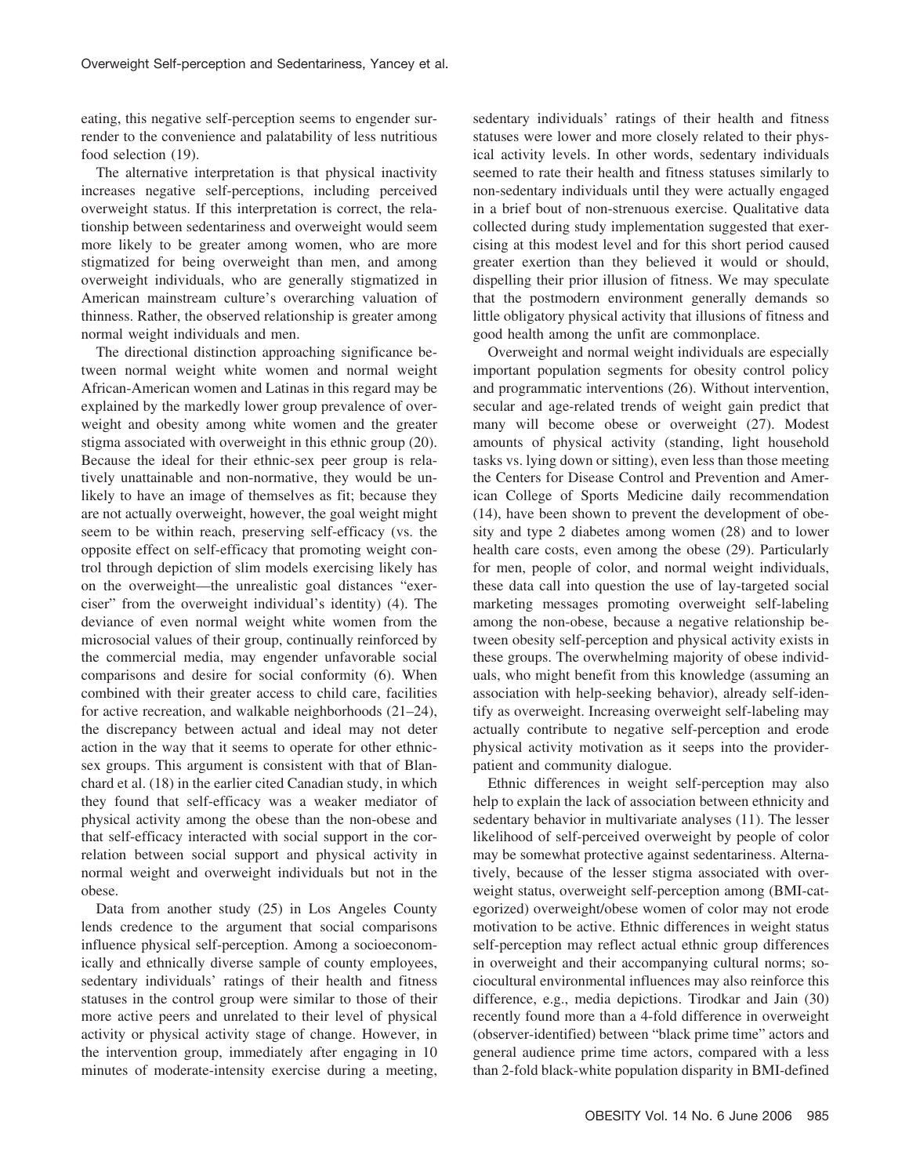eating, this negative self-perception seems to engender surrender to the convenience and palatability of less nutritious food selection (19).

The alternative interpretation is that physical inactivity increases negative self-perceptions, including perceived overweight status. If this interpretation is correct, the relationship between sedentariness and overweight would seem more likely to be greater among women, who are more stigmatized for being overweight than men, and among overweight individuals, who are generally stigmatized in American mainstream culture's overarching valuation of thinness. Rather, the observed relationship is greater among normal weight individuals and men.

The directional distinction approaching significance between normal weight white women and normal weight African-American women and Latinas in this regard may be explained by the markedly lower group prevalence of overweight and obesity among white women and the greater stigma associated with overweight in this ethnic group (20). Because the ideal for their ethnic-sex peer group is relatively unattainable and non-normative, they would be unlikely to have an image of themselves as fit; because they are not actually overweight, however, the goal weight might seem to be within reach, preserving self-efficacy (vs. the opposite effect on self-efficacy that promoting weight control through depiction of slim models exercising likely has on the overweight—the unrealistic goal distances "exerciser" from the overweight individual's identity) (4). The deviance of even normal weight white women from the microsocial values of their group, continually reinforced by the commercial media, may engender unfavorable social comparisons and desire for social conformity (6). When combined with their greater access to child care, facilities for active recreation, and walkable neighborhoods (21–24), the discrepancy between actual and ideal may not deter action in the way that it seems to operate for other ethnicsex groups. This argument is consistent with that of Blanchard et al. (18) in the earlier cited Canadian study, in which they found that self-efficacy was a weaker mediator of physical activity among the obese than the non-obese and that self-efficacy interacted with social support in the correlation between social support and physical activity in normal weight and overweight individuals but not in the obese.

Data from another study (25) in Los Angeles County lends credence to the argument that social comparisons influence physical self-perception. Among a socioeconomically and ethnically diverse sample of county employees, sedentary individuals' ratings of their health and fitness statuses in the control group were similar to those of their more active peers and unrelated to their level of physical activity or physical activity stage of change. However, in the intervention group, immediately after engaging in 10 minutes of moderate-intensity exercise during a meeting,

sedentary individuals' ratings of their health and fitness statuses were lower and more closely related to their physical activity levels. In other words, sedentary individuals seemed to rate their health and fitness statuses similarly to non-sedentary individuals until they were actually engaged in a brief bout of non-strenuous exercise. Qualitative data collected during study implementation suggested that exercising at this modest level and for this short period caused greater exertion than they believed it would or should, dispelling their prior illusion of fitness. We may speculate that the postmodern environment generally demands so little obligatory physical activity that illusions of fitness and good health among the unfit are commonplace.

Overweight and normal weight individuals are especially important population segments for obesity control policy and programmatic interventions (26). Without intervention, secular and age-related trends of weight gain predict that many will become obese or overweight (27). Modest amounts of physical activity (standing, light household tasks vs. lying down or sitting), even less than those meeting the Centers for Disease Control and Prevention and American College of Sports Medicine daily recommendation (14), have been shown to prevent the development of obesity and type 2 diabetes among women (28) and to lower health care costs, even among the obese (29). Particularly for men, people of color, and normal weight individuals, these data call into question the use of lay-targeted social marketing messages promoting overweight self-labeling among the non-obese, because a negative relationship between obesity self-perception and physical activity exists in these groups. The overwhelming majority of obese individuals, who might benefit from this knowledge (assuming an association with help-seeking behavior), already self-identify as overweight. Increasing overweight self-labeling may actually contribute to negative self-perception and erode physical activity motivation as it seeps into the providerpatient and community dialogue.

Ethnic differences in weight self-perception may also help to explain the lack of association between ethnicity and sedentary behavior in multivariate analyses (11). The lesser likelihood of self-perceived overweight by people of color may be somewhat protective against sedentariness. Alternatively, because of the lesser stigma associated with overweight status, overweight self-perception among (BMI-categorized) overweight/obese women of color may not erode motivation to be active. Ethnic differences in weight status self-perception may reflect actual ethnic group differences in overweight and their accompanying cultural norms; sociocultural environmental influences may also reinforce this difference, e.g., media depictions. Tirodkar and Jain (30) recently found more than a 4-fold difference in overweight (observer-identified) between "black prime time" actors and general audience prime time actors, compared with a less than 2-fold black-white population disparity in BMI-defined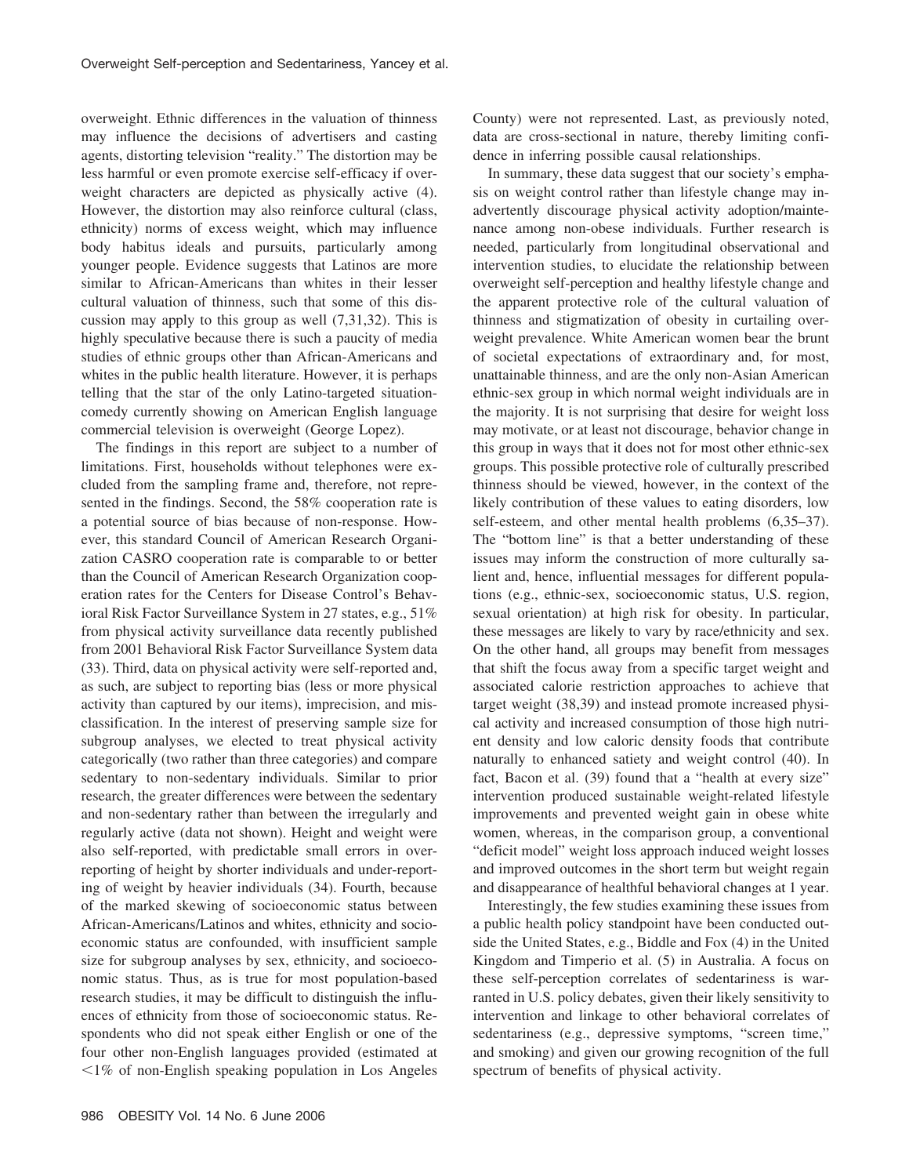overweight. Ethnic differences in the valuation of thinness may influence the decisions of advertisers and casting agents, distorting television "reality." The distortion may be less harmful or even promote exercise self-efficacy if overweight characters are depicted as physically active (4). However, the distortion may also reinforce cultural (class, ethnicity) norms of excess weight, which may influence body habitus ideals and pursuits, particularly among younger people. Evidence suggests that Latinos are more similar to African-Americans than whites in their lesser cultural valuation of thinness, such that some of this discussion may apply to this group as well (7,31,32). This is highly speculative because there is such a paucity of media studies of ethnic groups other than African-Americans and whites in the public health literature. However, it is perhaps telling that the star of the only Latino-targeted situationcomedy currently showing on American English language commercial television is overweight (George Lopez).

The findings in this report are subject to a number of limitations. First, households without telephones were excluded from the sampling frame and, therefore, not represented in the findings. Second, the 58% cooperation rate is a potential source of bias because of non-response. However, this standard Council of American Research Organization CASRO cooperation rate is comparable to or better than the Council of American Research Organization cooperation rates for the Centers for Disease Control's Behavioral Risk Factor Surveillance System in 27 states, e.g., 51% from physical activity surveillance data recently published from 2001 Behavioral Risk Factor Surveillance System data (33). Third, data on physical activity were self-reported and, as such, are subject to reporting bias (less or more physical activity than captured by our items), imprecision, and misclassification. In the interest of preserving sample size for subgroup analyses, we elected to treat physical activity categorically (two rather than three categories) and compare sedentary to non-sedentary individuals. Similar to prior research, the greater differences were between the sedentary and non-sedentary rather than between the irregularly and regularly active (data not shown). Height and weight were also self-reported, with predictable small errors in overreporting of height by shorter individuals and under-reporting of weight by heavier individuals (34). Fourth, because of the marked skewing of socioeconomic status between African-Americans/Latinos and whites, ethnicity and socioeconomic status are confounded, with insufficient sample size for subgroup analyses by sex, ethnicity, and socioeconomic status. Thus, as is true for most population-based research studies, it may be difficult to distinguish the influences of ethnicity from those of socioeconomic status. Respondents who did not speak either English or one of the four other non-English languages provided (estimated at  $1\%$  of non-English speaking population in Los Angeles County) were not represented. Last, as previously noted, data are cross-sectional in nature, thereby limiting confidence in inferring possible causal relationships.

In summary, these data suggest that our society's emphasis on weight control rather than lifestyle change may inadvertently discourage physical activity adoption/maintenance among non-obese individuals. Further research is needed, particularly from longitudinal observational and intervention studies, to elucidate the relationship between overweight self-perception and healthy lifestyle change and the apparent protective role of the cultural valuation of thinness and stigmatization of obesity in curtailing overweight prevalence. White American women bear the brunt of societal expectations of extraordinary and, for most, unattainable thinness, and are the only non-Asian American ethnic-sex group in which normal weight individuals are in the majority. It is not surprising that desire for weight loss may motivate, or at least not discourage, behavior change in this group in ways that it does not for most other ethnic-sex groups. This possible protective role of culturally prescribed thinness should be viewed, however, in the context of the likely contribution of these values to eating disorders, low self-esteem, and other mental health problems (6,35–37). The "bottom line" is that a better understanding of these issues may inform the construction of more culturally salient and, hence, influential messages for different populations (e.g., ethnic-sex, socioeconomic status, U.S. region, sexual orientation) at high risk for obesity. In particular, these messages are likely to vary by race/ethnicity and sex. On the other hand, all groups may benefit from messages that shift the focus away from a specific target weight and associated calorie restriction approaches to achieve that target weight (38,39) and instead promote increased physical activity and increased consumption of those high nutrient density and low caloric density foods that contribute naturally to enhanced satiety and weight control (40). In fact, Bacon et al. (39) found that a "health at every size" intervention produced sustainable weight-related lifestyle improvements and prevented weight gain in obese white women, whereas, in the comparison group, a conventional "deficit model" weight loss approach induced weight losses and improved outcomes in the short term but weight regain and disappearance of healthful behavioral changes at 1 year.

Interestingly, the few studies examining these issues from a public health policy standpoint have been conducted outside the United States, e.g., Biddle and Fox (4) in the United Kingdom and Timperio et al. (5) in Australia. A focus on these self-perception correlates of sedentariness is warranted in U.S. policy debates, given their likely sensitivity to intervention and linkage to other behavioral correlates of sedentariness (e.g., depressive symptoms, "screen time," and smoking) and given our growing recognition of the full spectrum of benefits of physical activity.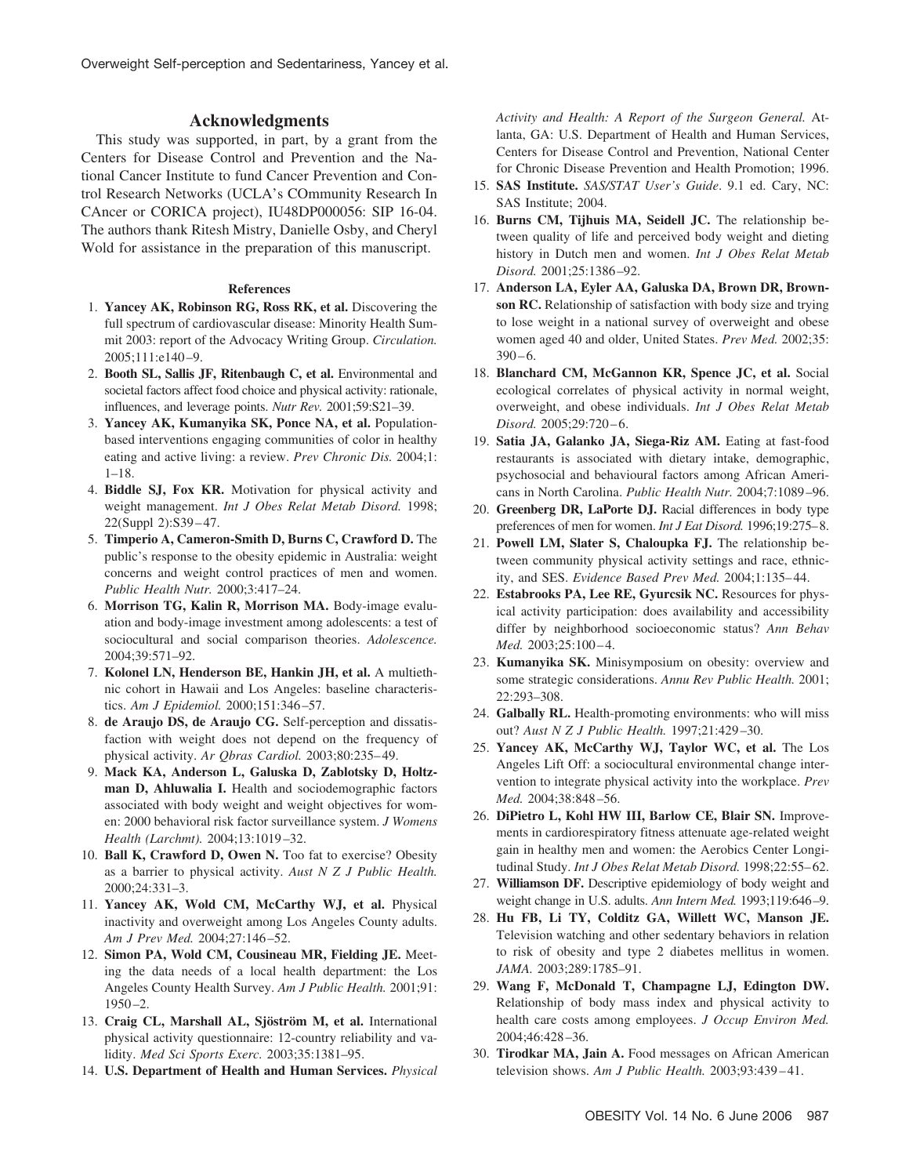# **Acknowledgments**

This study was supported, in part, by a grant from the Centers for Disease Control and Prevention and the National Cancer Institute to fund Cancer Prevention and Control Research Networks (UCLA's COmmunity Research In CAncer or CORICA project), IU48DP000056: SIP 16-04. The authors thank Ritesh Mistry, Danielle Osby, and Cheryl Wold for assistance in the preparation of this manuscript.

#### **References**

- 1. **Yancey AK, Robinson RG, Ross RK, et al.** Discovering the full spectrum of cardiovascular disease: Minority Health Summit 2003: report of the Advocacy Writing Group. *Circulation.* 2005;111:e140 –9.
- 2. **Booth SL, Sallis JF, Ritenbaugh C, et al.** Environmental and societal factors affect food choice and physical activity: rationale, influences, and leverage points. *Nutr Rev.* 2001;59:S21–39.
- 3. **Yancey AK, Kumanyika SK, Ponce NA, et al.** Populationbased interventions engaging communities of color in healthy eating and active living: a review. *Prev Chronic Dis.* 2004;1: 1–18.
- 4. **Biddle SJ, Fox KR.** Motivation for physical activity and weight management. *Int J Obes Relat Metab Disord.* 1998; 22(Suppl 2):S39 – 47.
- 5. **Timperio A, Cameron-Smith D, Burns C, Crawford D.** The public's response to the obesity epidemic in Australia: weight concerns and weight control practices of men and women. *Public Health Nutr.* 2000;3:417–24.
- 6. **Morrison TG, Kalin R, Morrison MA.** Body-image evaluation and body-image investment among adolescents: a test of sociocultural and social comparison theories. *Adolescence.* 2004;39:571–92.
- 7. **Kolonel LN, Henderson BE, Hankin JH, et al.** A multiethnic cohort in Hawaii and Los Angeles: baseline characteristics. *Am J Epidemiol.* 2000;151:346 –57.
- 8. **de Araujo DS, de Araujo CG.** Self-perception and dissatisfaction with weight does not depend on the frequency of physical activity. *Ar Qbras Cardiol.* 2003;80:235– 49.
- 9. **Mack KA, Anderson L, Galuska D, Zablotsky D, Holtzman D, Ahluwalia I.** Health and sociodemographic factors associated with body weight and weight objectives for women: 2000 behavioral risk factor surveillance system. *J Womens Health (Larchmt).* 2004;13:1019 –32.
- 10. **Ball K, Crawford D, Owen N.** Too fat to exercise? Obesity as a barrier to physical activity. *Aust N Z J Public Health.* 2000;24:331–3.
- 11. **Yancey AK, Wold CM, McCarthy WJ, et al.** Physical inactivity and overweight among Los Angeles County adults. *Am J Prev Med.* 2004;27:146 –52.
- 12. **Simon PA, Wold CM, Cousineau MR, Fielding JE.** Meeting the data needs of a local health department: the Los Angeles County Health Survey. *Am J Public Health.* 2001;91:  $1950 - 2.$
- 13. Craig CL, Marshall AL, Sjöström M, et al. International physical activity questionnaire: 12-country reliability and validity. *Med Sci Sports Exerc.* 2003;35:1381–95.
- 14. **U.S. Department of Health and Human Services.** *Physical*

*Activity and Health: A Report of the Surgeon General.* Atlanta, GA: U.S. Department of Health and Human Services, Centers for Disease Control and Prevention, National Center for Chronic Disease Prevention and Health Promotion; 1996.

- 15. **SAS Institute.** *SAS/STAT User's Guide*. 9.1 ed. Cary, NC: SAS Institute; 2004.
- 16. **Burns CM, Tijhuis MA, Seidell JC.** The relationship between quality of life and perceived body weight and dieting history in Dutch men and women. *Int J Obes Relat Metab Disord.* 2001;25:1386 –92.
- 17. **Anderson LA, Eyler AA, Galuska DA, Brown DR, Brownson RC.** Relationship of satisfaction with body size and trying to lose weight in a national survey of overweight and obese women aged 40 and older, United States. *Prev Med.* 2002;35:  $390 - 6.$
- 18. **Blanchard CM, McGannon KR, Spence JC, et al.** Social ecological correlates of physical activity in normal weight, overweight, and obese individuals. *Int J Obes Relat Metab* Disord. 2005;29:720-6.
- 19. **Satia JA, Galanko JA, Siega-Riz AM.** Eating at fast-food restaurants is associated with dietary intake, demographic, psychosocial and behavioural factors among African Americans in North Carolina. *Public Health Nutr.* 2004;7:1089 –96.
- 20. **Greenberg DR, LaPorte DJ.** Racial differences in body type preferences of men for women. *Int J Eat Disord.* 1996;19:275– 8.
- 21. **Powell LM, Slater S, Chaloupka FJ.** The relationship between community physical activity settings and race, ethnicity, and SES. *Evidence Based Prev Med.* 2004;1:135– 44.
- 22. **Estabrooks PA, Lee RE, Gyurcsik NC.** Resources for physical activity participation: does availability and accessibility differ by neighborhood socioeconomic status? *Ann Behav Med.* 2003;25:100-4.
- 23. **Kumanyika SK.** Minisymposium on obesity: overview and some strategic considerations. *Annu Rev Public Health.* 2001; 22:293–308.
- 24. **Galbally RL.** Health-promoting environments: who will miss out? *Aust N Z J Public Health.* 1997;21:429 –30.
- 25. **Yancey AK, McCarthy WJ, Taylor WC, et al.** The Los Angeles Lift Off: a sociocultural environmental change intervention to integrate physical activity into the workplace. *Prev Med.* 2004;38:848 –56.
- 26. **DiPietro L, Kohl HW III, Barlow CE, Blair SN.** Improvements in cardiorespiratory fitness attenuate age-related weight gain in healthy men and women: the Aerobics Center Longitudinal Study. *Int J Obes Relat Metab Disord.* 1998;22:55-62.
- 27. **Williamson DF.** Descriptive epidemiology of body weight and weight change in U.S. adults. *Ann Intern Med.* 1993;119:646 –9.
- 28. **Hu FB, Li TY, Colditz GA, Willett WC, Manson JE.** Television watching and other sedentary behaviors in relation to risk of obesity and type 2 diabetes mellitus in women. *JAMA.* 2003;289:1785–91.
- 29. **Wang F, McDonald T, Champagne LJ, Edington DW.** Relationship of body mass index and physical activity to health care costs among employees. *J Occup Environ Med.* 2004;46:428 –36.
- 30. **Tirodkar MA, Jain A.** Food messages on African American television shows. *Am J Public Health.* 2003;93:439 – 41.